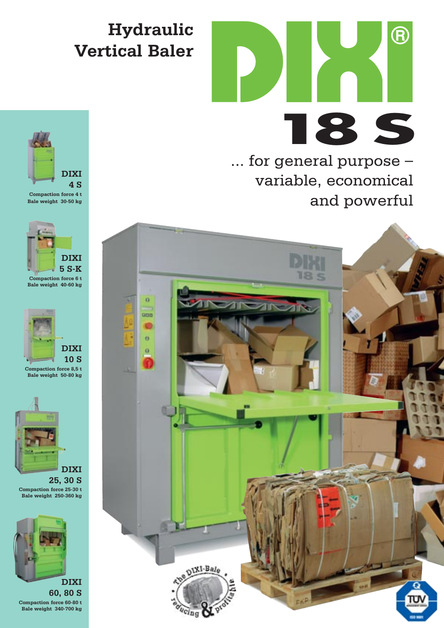## **Hydraulic Vertical Baler**



... for general purpose – variable, economical and powerful





**Compaction force 4 t Bale weight 30-50 kg** 







**25, 30 S Compaction force 25-30 t Bale weight 250-360 kg** 



**60, 80 S Compaction force 60-80 t Bale weight 340-700 kg**